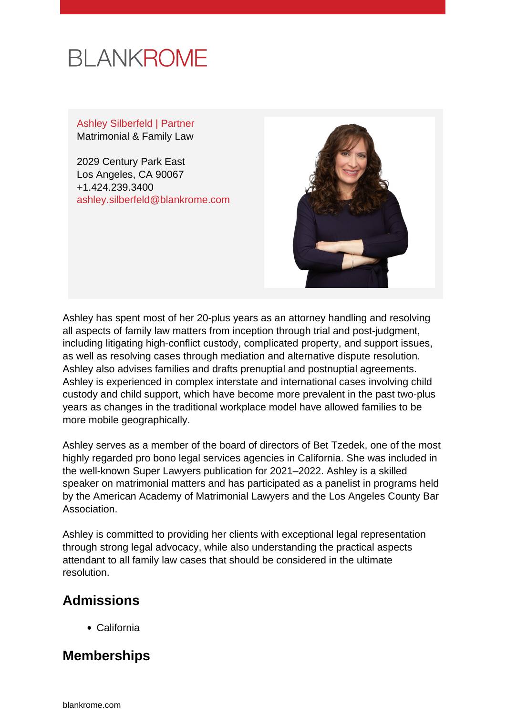

Ashley Silberfeld | Partner Matrimonial & Family Law

2029 Century Park East Los Angeles, CA 90067 +1.424.239.3400 [ashley.silberfeld@blankrome.com](mailto:ashley.silberfeld@blankrome.com)



Ashley has spent most of her 20-plus years as an attorney handling and resolving all aspects of family law matters from inception through trial and post-judgment, including litigating high-conflict custody, complicated property, and support issues, as well as resolving cases through mediation and alternative dispute resolution. Ashley also advises families and drafts prenuptial and postnuptial agreements. Ashley is experienced in complex interstate and international cases involving child custody and child support, which have become more prevalent in the past two-plus years as changes in the traditional workplace model have allowed families to be more mobile geographically.

Ashley serves as a member of the board of directors of Bet Tzedek, one of the most highly regarded pro bono legal services agencies in California. She was included in the well-known Super Lawyers publication for 2021–2022. Ashley is a skilled speaker on matrimonial matters and has participated as a panelist in programs held by the American Academy of Matrimonial Lawyers and the Los Angeles County Bar Association.

Ashley is committed to providing her clients with exceptional legal representation through strong legal advocacy, while also understanding the practical aspects attendant to all family law cases that should be considered in the ultimate resolution.

## **Admissions**

California

## **Memberships**

[blankrome.com](https://www.blankrome.com)